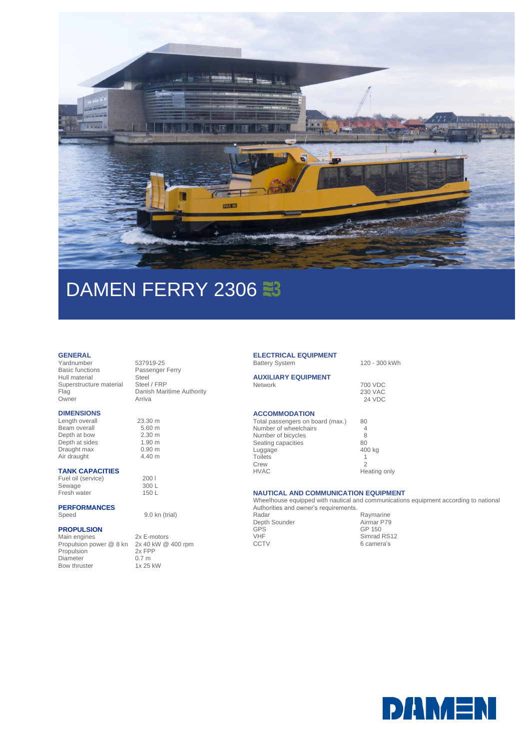

## DAMEN FERRY 2306

### **GENERAL**

Yardnumber 537919-25<br>Basic functions Passenger Hull material Steel<br>Superstructure material Steel / FRP Superstructure material<br>Flag Owner

### **DIMENSIONS**

Length overall 23.30 m<br>Beam overall 5.60 m Beam overall 5.60 m<br>Depth at bow 2.30 m Depth at bow 2.30 m<br>Depth at sides 1.90 m Depth at sides<br>
Depth at sides<br>
Draught max<br>  $0.90 \text{ m}$ Draught max 0.90 m<br>Air draught 4.40 m Air draught

### **TANK CAPACITIES**

Fuel oil (service) 200 l<br>
Sewage 200 L<br>
Fresh water 150 L Sewage<sup>1</sup> Fresh water

#### **PERFORMANCES** Speed 9.0 kn (trial)

### **PROPULSION**

Main engines 2x E-motors<br>Propulsion power @ 8 kn 2x 40 kW @ 400 rpm Propulsion power @ 8 kn 2x 40 kV<br>Propulsion 2x FPP Propulsion 2x FPP<br>Diameter 0.7 m<br>Bow thruster 1x 25 kW Diameter Bow thruster

Passenger Ferry<br>Steel Danish Maritime Authority<br>Arriva

# **AUXILIARY EQUIPMENT**

### Network 700 VDC

**ELECTRICAL EQUIPMENT** 

### **ACCOMMODATION**

| Total passengers on board (max.) | 80           |
|----------------------------------|--------------|
| Number of wheelchairs            |              |
| Number of bicycles               | 8            |
| Seating capacities               | 80           |
| Luggage                          | 400 kg       |
| <b>Toilets</b>                   |              |
| Crew                             | 2            |
| <b>HVAC</b>                      | Heating only |
|                                  |              |

Battery System 120 - 300 kWh

### **NAUTICAL AND COMMUNICATION EQUIPMENT**

Wheelhouse equipped with nautical and communications equipment according to national Authorities and owner's requirements.

230 VAC 24 VDC

| Raymarine   |
|-------------|
| Airmar P79  |
| GP 150      |
| Simrad RS12 |
| 6 camera's  |
|             |